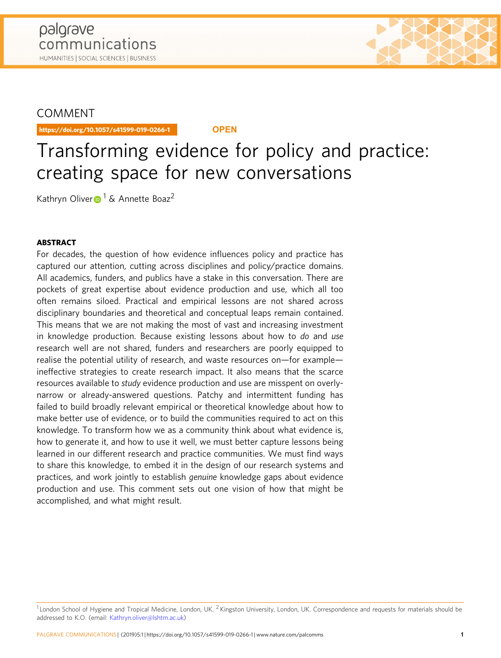## **COMMENT**

https://doi.org/10.1057/s41599-019-0266-1 **OPEN**

# Transforming evidence for policy and practice: creating space for new conversations

Kath[r](http://orcid.org/0000-0002-4326-5258)yn Oliver $\bullet$ <sup>[1](http://orcid.org/0000-0002-4326-5258)</sup> & Annette Boaz<sup>2</sup>

### ABSTRACT

For decades, the question of how evidence influences policy and practice has captured our attention, cutting across disciplines and policy/practice domains. All academics, funders, and publics have a stake in this conversation. There are pockets of great expertise about evidence production and use, which all too often remains siloed. Practical and empirical lessons are not shared across disciplinary boundaries and theoretical and conceptual leaps remain contained. This means that we are not making the most of vast and increasing investment in knowledge production. Because existing lessons about how to do and use research well are not shared, funders and researchers are poorly equipped to realise the potential utility of research, and waste resources on—for example ineffective strategies to create research impact. It also means that the scarce resources available to study evidence production and use are misspent on overlynarrow or already-answered questions. Patchy and intermittent funding has failed to build broadly relevant empirical or theoretical knowledge about how to make better use of evidence, or to build the communities required to act on this knowledge. To transform how we as a community think about what evidence is, how to generate it, and how to use it well, we must better capture lessons being learned in our different research and practice communities. We must find ways to share this knowledge, to embed it in the design of our research systems and practices, and work jointly to establish genuine knowledge gaps about evidence production and use. This comment sets out one vision of how that might be accomplished, and what might result.

 $1$ London School of Hygiene and Tropical Medicine, London, UK.  $2$ Kingston University, London, UK. Correspondence and requests for materials should be addressed to K.O. (email: [Kathryn.oliver@lshtm.ac.uk](mailto:Kathryn.oliver@lshtm.ac.uk))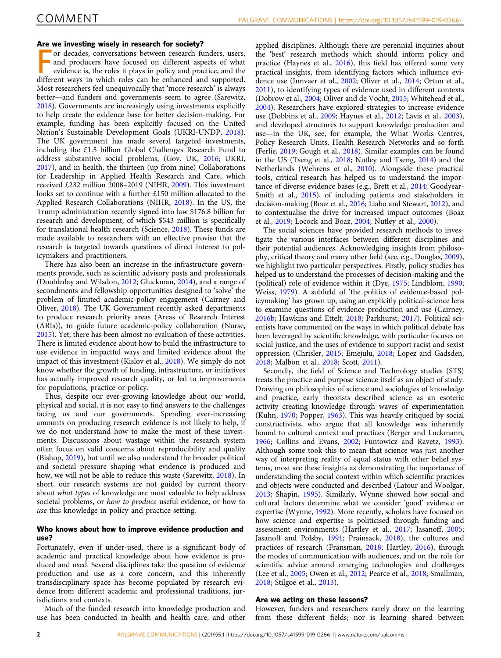#### Are we investing wisely in research for society?

For the investing wisely in research for society.<br>The different different conservations between research funders, users,<br>and producers have focused on different aspects of what<br>evidence is, the roles it plays in policy and or decades, conversations between research funders, users, and producers have focused on different aspects of what evidence is, the roles it plays in policy and practice, and the Most researchers feel unequivocally that 'more research' is always better—and funders and governments seem to agree (Sarewitz, [2018\)](#page-8-0). Governments are increasingly using investments explicitly to help create the evidence base for better decision-making. For example, funding has been explicitly focused on the United Nation's Sustainable Development Goals (UKRI-UNDP, [2018](#page-8-0)). The UK government has made several targeted investments, including the £1.5 billion Global Challenges Research Fund to address substantive social problems, (Gov. UK, [2016;](#page-7-0) UKRI, [2017\)](#page-8-0), and in health, the thirteen (up from nine) Collaborations for Leadership in Applied Health Research and Care, which received £232 million 2008–2019 (NIHR, [2009](#page-7-0)). This investment looks set to continue with a further £150 million allocated to the Applied Research Collaborations (NIHR, [2018](#page-7-0)). In the US, the Trump administration recently signed into law \$176.8 billion for research and development, of which \$543 million is specifically for translational health research (Science, [2018\)](#page-8-0). These funds are made available to researchers with an effective proviso that the research is targeted towards questions of direct interest to policymakers and practitioners.

There has also been an increase in the infrastructure governments provide, such as scientific advisory posts and professionals (Doubleday and Wilsdon, [2012](#page-6-0); Gluckman, [2014](#page-6-0)), and a range of secondments and fellowship opportunities designed to 'solve' the problem of limited academic-policy engagement (Cairney and Oliver, [2018\)](#page-6-0). The UK Government recently asked departments to produce research priority areas (Areas of Research Interest (ARIs)), to guide future academic-policy collaboration (Nurse, [2015\)](#page-7-0). Yet, there has been almost no evaluation of these activities. There is limited evidence about how to build the infrastructure to use evidence in impactful ways and limited evidence about the impact of this investment (Kislov et al., [2018\)](#page-7-0). We simply do not know whether the growth of funding, infrastructure, or initiatives has actually improved research quality, or led to improvements for populations, practice or policy.

Thus, despite our ever-growing knowledge about our world, physical and social, it is not easy to find answers to the challenges facing us and our governments. Spending ever-increasing amounts on producing research evidence is not likely to help, if we do not understand how to make the most of these investments. Discussions about wastage within the research system often focus on valid concerns about reproducibility and quality (Bishop, [2019\)](#page-6-0), but until we also understand the broader political and societal pressure shaping what evidence is produced and how, we will not be able to reduce this waste (Sarewitz, [2018](#page-8-0)). In short, our research systems are not guided by current theory about what types of knowledge are most valuable to help address societal problems, or how to produce useful evidence, or how to use this knowledge in policy and practice setting.

#### Who knows about how to improve evidence production and use?

Fortunately, even if under-used, there is a significant body of academic and practical knowledge about how evidence is produced and used. Several disciplines take the question of evidence production and use as a core concern, and this inherently transdisciplinary space has become populated by research evidence from different academic and professional traditions, jurisdictions and contexts.

Much of the funded research into knowledge production and use has been conducted in health and health care, and other

applied disciplines. Although there are perennial inquiries about the 'best' research methods which should inform policy and practice (Haynes et al., [2016\)](#page-7-0), this field has offered some very practical insights, from identifying factors which influence evidence use (Innvaer et al., [2002](#page-7-0); Oliver et al., [2014;](#page-7-0) Orton et al., [2011\)](#page-7-0), to identifying types of evidence used in different contexts (Dobrow et al., [2004](#page-6-0); Oliver and de Vocht, [2015;](#page-7-0) Whitehead et al., [2004\)](#page-8-0). Researchers have explored strategies to increase evidence use (Dobbins et al., [2009](#page-6-0); Haynes et al., [2012](#page-7-0); Lavis et al., [2003](#page-7-0)), and developed structures to support knowledge production and use—in the UK, see, for example, the What Works Centres, Policy Research Units, Health Research Networks and so forth (Ferlie, [2019;](#page-6-0) Gough et al., [2018\)](#page-7-0). Similar examples can be found in the US (Tseng et al., [2018;](#page-8-0) Nutley and Tseng, [2014](#page-8-0)) and the Netherlands (Wehrens et al., [2010](#page-8-0)). Alongside these practical tools, critical research has helped us to understand the importance of diverse evidence bases (e.g., Brett et al., [2014;](#page-6-0) Goodyear-Smith et al., [2015](#page-7-0)), of including patients and stakeholders in decision-making (Boaz et al., [2016;](#page-6-0) Liabo and Stewart, [2012\)](#page-7-0), and to contextualise the drive for increased impact outcomes (Boaz et al., [2019](#page-6-0); Locock and Boaz, [2004;](#page-7-0) Nutley et al., [2000\)](#page-7-0).

The social sciences have provided research methods to investigate the various interfaces between different disciplines and their potential audiences. Acknowledging insights from philosophy, critical theory and many other field (see, e.g., Douglas, [2009](#page-6-0)), we highlight two particular perspectives. Firstly, policy studies has helped us to understand the processes of decision-making and the (political) role of evidence within it (Dye, [1975](#page-6-0); Lindblom, [1990;](#page-7-0) Weiss, [1979](#page-8-0)). A subfield of 'the politics of evidence-based policymaking' has grown up, using an explicitly political-science lens to examine questions of evidence production and use (Cairney, [2016b](#page-6-0); Hawkins and Ettelt, [2018;](#page-7-0) Parkhurst, [2017\)](#page-8-0). Political scientists have commented on the ways in which political debate has been leveraged by scientific knowledge, with particular focuses on social justice, and the uses of evidence to support racist and sexist oppression (Chrisler, [2015;](#page-6-0) Emejulu, [2018;](#page-6-0) Lopez and Gadsden, [2018;](#page-7-0) Malbon et al., [2018](#page-7-0); Scott, [2011\)](#page-8-0).

Secondly, the field of Science and Technology studies (STS) treats the practice and purpose science itself as an object of study. Drawing on philosophies of science and sociologies of knowledge and practice, early theorists described science as an esoteric activity creating knowledge through waves of experimentation (Kuhn, [1970](#page-7-0); Popper, [1963](#page-8-0)). This was heavily critiqued by social constructivists, who argue that all knowledge was inherently bound to cultural context and practices (Berger and Luckmann, [1966;](#page-6-0) Collins and Evans, [2002](#page-6-0); Funtowicz and Ravetz, [1993](#page-6-0)). Although some took this to mean that science was just another way of interpreting reality of equal status with other belief systems, most see these insights as demonstrating the importance of understanding the social context within which scientific practices and objects were conducted and described (Latour and Woolgar, [2013;](#page-7-0) Shapin, [1995](#page-8-0)). Similarly, Wynne showed how social and cultural factors determine what we consider 'good' evidence or expertise (Wynne, [1992\)](#page-8-0). More recently, scholars have focused on how science and expertise is politicised through funding and assessment environments (Hartley et al., [2017;](#page-7-0) Jasanoff, [2005;](#page-7-0) Jasanoff and Polsby, [1991;](#page-7-0) Prainsack, [2018](#page-8-0)), the cultures and practices of research (Fransman, [2018](#page-6-0); Hartley, [2016\)](#page-7-0), through the modes of communication with audiences, and on the role for scientific advice around emerging technologies and challenges (Lee et al., [2005](#page-7-0); Owen et al., [2012;](#page-7-0) Pearce et al., [2018;](#page-8-0) Smallman, [2018;](#page-8-0) Stilgoe et al., [2013](#page-8-0)).

#### Are we acting on these lessons?

However, funders and researchers rarely draw on the learning from these different fields; nor is learning shared between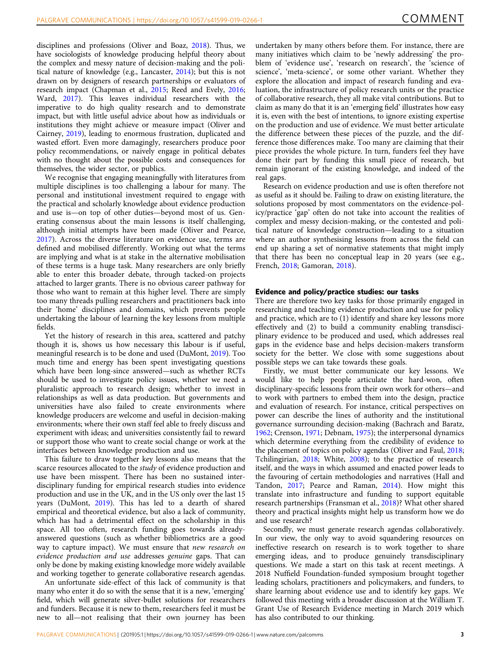disciplines and professions (Oliver and Boaz, [2018\)](#page-7-0). Thus, we have sociologists of knowledge producing helpful theory about the complex and messy nature of decision-making and the political nature of knowledge (e.g., Lancaster, [2014](#page-7-0)); but this is not drawn on by designers of research partnerships or evaluators of research impact (Chapman et al., [2015;](#page-6-0) Reed and Evely, [2016;](#page-8-0) Ward, [2017](#page-8-0)). This leaves individual researchers with the imperative to do high quality research and to demonstrate impact, but with little useful advice about how as individuals or institutions they might achieve or measure impact (Oliver and Cairney, [2019\)](#page-7-0), leading to enormous frustration, duplicated and wasted effort. Even more damagingly, researchers produce poor policy recommendations, or naively engage in political debates with no thought about the possible costs and consequences for themselves, the wider sector, or publics.

We recognise that engaging meaningfully with literatures from multiple disciplines is too challenging a labour for many. The personal and institutional investment required to engage with the practical and scholarly knowledge about evidence production and use is—on top of other duties—beyond most of us. Generating consensus about the main lessons is itself challenging, although initial attempts have been made (Oliver and Pearce, [2017\)](#page-7-0). Across the diverse literature on evidence use, terms are defined and mobilised differently. Working out what the terms are implying and what is at stake in the alternative mobilisation of these terms is a huge task. Many researchers are only briefly able to enter this broader debate, through tacked-on projects attached to larger grants. There is no obvious career pathway for those who want to remain at this higher level. There are simply too many threads pulling researchers and practitioners back into their 'home' disciplines and domains, which prevents people undertaking the labour of learning the key lessons from multiple fields.

Yet the history of research in this area, scattered and patchy though it is, shows us how necessary this labour is if useful, meaningful research is to be done and used (DuMont, [2019\)](#page-6-0). Too much time and energy has been spent investigating questions which have been long-since answered—such as whether RCTs should be used to investigate policy issues, whether we need a pluralistic approach to research design; whether to invest in relationships as well as data production. But governments and universities have also failed to create environments where knowledge producers are welcome and useful in decision-making environments; where their own staff feel able to freely discuss and experiment with ideas; and universities consistently fail to reward or support those who want to create social change or work at the interfaces between knowledge production and use.

This failure to draw together key lessons also means that the scarce resources allocated to the study of evidence production and use have been misspent. There has been no sustained interdisciplinary funding for empirical research studies into evidence production and use in the UK, and in the US only over the last 15 years (DuMont, [2019\)](#page-6-0). This has led to a dearth of shared empirical and theoretical evidence, but also a lack of community, which has had a detrimental effect on the scholarship in this space. All too often, research funding goes towards alreadyanswered questions (such as whether bibliometrics are a good way to capture impact). We must ensure that new research on evidence production and use addresses genuine gaps. That can only be done by making existing knowledge more widely available and working together to generate collaborative research agendas.

An unfortunate side-effect of this lack of community is that many who enter it do so with the sense that it is a new, 'emerging' field, which will generate silver-bullet solutions for researchers and funders. Because it is new to them, researchers feel it must be new to all—not realising that their own journey has been

undertaken by many others before them. For instance, there are many initiatives which claim to be 'newly addressing' the problem of 'evidence use', 'research on research', the 'science of science', 'meta-science', or some other variant. Whether they explore the allocation and impact of research funding and evaluation, the infrastructure of policy research units or the practice of collaborative research, they all make vital contributions. But to claim as many do that it is an 'emerging field' illustrates how easy it is, even with the best of intentions, to ignore existing expertise on the production and use of evidence. We must better articulate the difference between these pieces of the puzzle, and the difference those differences make. Too many are claiming that their piece provides the whole picture. In turn, funders feel they have done their part by funding this small piece of research, but remain ignorant of the existing knowledge, and indeed of the real gaps.

Research on evidence production and use is often therefore not as useful as it should be. Failing to draw on existing literature, the solutions proposed by most commentators on the evidence-policy/practice 'gap' often do not take into account the realities of complex and messy decision-making, or the contested and political nature of knowledge construction—leading to a situation where an author synthesising lessons from across the field can end up sharing a set of normative statements that might imply that there has been no conceptual leap in 20 years (see e.g., French, [2018](#page-6-0); Gamoran, [2018\)](#page-6-0).

#### Evidence and policy/practice studies: our tasks

There are therefore two key tasks for those primarily engaged in researching and teaching evidence production and use for policy and practice, which are to (1) identify and share key lessons more effectively and (2) to build a community enabling transdisciplinary evidence to be produced and used, which addresses real gaps in the evidence base and helps decision-makers transform society for the better. We close with some suggestions about possible steps we can take towards these goals.

Firstly, we must better communicate our key lessons. We would like to help people articulate the hard-won, often disciplinary-specific lessons from their own work for others—and to work with partners to embed them into the design, practice and evaluation of research. For instance, critical perspectives on power can describe the lines of authority and the institutional governance surrounding decision-making (Bachrach and Baratz, [1962;](#page-6-0) Crenson, [1971](#page-6-0); Debnam, [1975\)](#page-6-0); the interpersonal dynamics which determine everything from the credibility of evidence to the placement of topics on policy agendas (Oliver and Faul, [2018;](#page-7-0) Tchilingirian, [2018;](#page-8-0) White, [2008\)](#page-8-0); to the practice of research itself, and the ways in which assumed and enacted power leads to the favouring of certain methodologies and narratives (Hall and Tandon, [2017;](#page-7-0) Pearce and Raman, [2014](#page-8-0)). How might this translate into infrastructure and funding to support equitable research partnerships (Fransman et al., [2018](#page-6-0))? What other shared theory and practical insights might help us transform how we do and use research?

Secondly, we must generate research agendas collaboratively. In our view, the only way to avoid squandering resources on ineffective research on research is to work together to share emerging ideas, and to produce genuinely transdisciplinary questions. We made a start on this task at recent meetings. A 2018 Nuffield Foundation-funded symposium brought together leading scholars, practitioners and policymakers, and funders, to share learning about evidence use and to identify key gaps. We followed this meeting with a broader discussion at the William T. Grant Use of Research Evidence meeting in March 2019 which has also contributed to our thinking.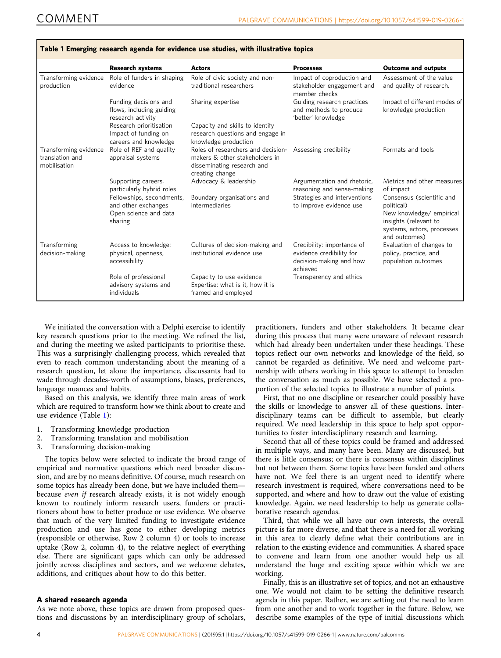|                                                          | <b>Research systems</b>                                                              | <b>Actors</b>                                                                                                         | <b>Processes</b>                                                                              | <b>Outcome and outputs</b>                                                                                                                  |
|----------------------------------------------------------|--------------------------------------------------------------------------------------|-----------------------------------------------------------------------------------------------------------------------|-----------------------------------------------------------------------------------------------|---------------------------------------------------------------------------------------------------------------------------------------------|
| Transforming evidence<br>production                      | Role of funders in shaping<br>evidence                                               | Role of civic society and non-<br>traditional researchers                                                             | Impact of coproduction and<br>stakeholder engagement and<br>member checks                     | Assessment of the value<br>and quality of research.                                                                                         |
|                                                          | Funding decisions and<br>flows, including guiding<br>research activity               | Sharing expertise                                                                                                     | Guiding research practices<br>and methods to produce<br>'better' knowledge                    | Impact of different modes of<br>knowledge production                                                                                        |
|                                                          | Research prioritisation<br>Impact of funding on<br>careers and knowledge             | Capacity and skills to identify<br>research questions and engage in<br>knowledge production                           |                                                                                               |                                                                                                                                             |
| Transforming evidence<br>translation and<br>mobilisation | Role of REF and quality<br>appraisal systems                                         | Roles of researchers and decision-<br>makers & other stakeholders in<br>disseminating research and<br>creating change | Assessing credibility                                                                         | Formats and tools                                                                                                                           |
|                                                          | Supporting careers,<br>particularly hybrid roles                                     | Advocacy & leadership                                                                                                 | Argumentation and rhetoric,<br>reasoning and sense-making                                     | Metrics and other measures<br>of impact                                                                                                     |
|                                                          | Fellowships, secondments,<br>and other exchanges<br>Open science and data<br>sharing | Boundary organisations and<br>intermediaries                                                                          | Strategies and interventions<br>to improve evidence use                                       | Consensus (scientific and<br>political)<br>New knowledge/ empirical<br>insights (relevant to<br>systems, actors, processes<br>and outcomes) |
| Transforming<br>decision-making                          | Access to knowledge:<br>physical, openness,<br>accessibility                         | Cultures of decision-making and<br>institutional evidence use                                                         | Credibility: importance of<br>evidence credibility for<br>decision-making and how<br>achieved | Evaluation of changes to<br>policy, practice, and<br>population outcomes                                                                    |
|                                                          | Role of professional<br>advisory systems and<br>individuals                          | Capacity to use evidence<br>Expertise: what is it, how it is<br>framed and employed                                   | Transparency and ethics                                                                       |                                                                                                                                             |

Table 1 Emerging research agenda for evidence use studies, with illustrative topics

We initiated the conversation with a Delphi exercise to identify key research questions prior to the meeting. We refined the list, and during the meeting we asked participants to prioritise these. This was a surprisingly challenging process, which revealed that even to reach common understanding about the meaning of a research question, let alone the importance, discussants had to wade through decades-worth of assumptions, biases, preferences, language nuances and habits.

Based on this analysis, we identify three main areas of work which are required to transform how we think about to create and use evidence (Table 1):

- 1. Transforming knowledge production
- 2. Transforming translation and mobilisation
- 3. Transforming decision-making

The topics below were selected to indicate the broad range of empirical and normative questions which need broader discussion, and are by no means definitive. Of course, much research on some topics has already been done, but we have included them because even if research already exists, it is not widely enough known to routinely inform research users, funders or practitioners about how to better produce or use evidence. We observe that much of the very limited funding to investigate evidence production and use has gone to either developing metrics (responsible or otherwise, Row 2 column 4) or tools to increase uptake (Row 2, column 4), to the relative neglect of everything else. There are significant gaps which can only be addressed jointly across disciplines and sectors, and we welcome debates, additions, and critiques about how to do this better.

#### A shared research agenda

As we note above, these topics are drawn from proposed questions and discussions by an interdisciplinary group of scholars, practitioners, funders and other stakeholders. It became clear during this process that many were unaware of relevant research which had already been undertaken under these headings. These topics reflect our own networks and knowledge of the field, so cannot be regarded as definitive. We need and welcome partnership with others working in this space to attempt to broaden the conversation as much as possible. We have selected a proportion of the selected topics to illustrate a number of points.

First, that no one discipline or researcher could possibly have the skills or knowledge to answer all of these questions. Interdisciplinary teams can be difficult to assemble, but clearly required. We need leadership in this space to help spot opportunities to foster interdisciplinary research and learning.

Second that all of these topics could be framed and addressed in multiple ways, and many have been. Many are discussed, but there is little consensus; or there is consensus within disciplines but not between them. Some topics have been funded and others have not. We feel there is an urgent need to identify where research investment is required, where conversations need to be supported, and where and how to draw out the value of existing knowledge. Again, we need leadership to help us generate collaborative research agendas.

Third, that while we all have our own interests, the overall picture is far more diverse, and that there is a need for all working in this area to clearly define what their contributions are in relation to the existing evidence and communities. A shared space to convene and learn from one another would help us all understand the huge and exciting space within which we are working.

Finally, this is an illustrative set of topics, and not an exhaustive one. We would not claim to be setting the definitive research agenda in this paper. Rather, we are setting out the need to learn from one another and to work together in the future. Below, we describe some examples of the type of initial discussions which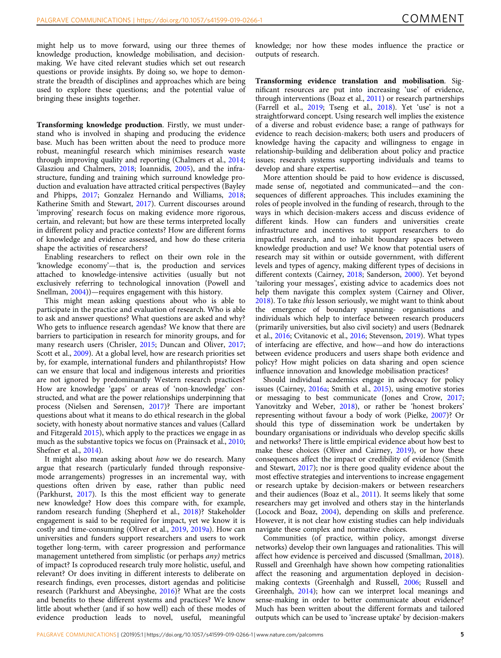might help us to move forward, using our three themes of knowledge production, knowledge mobilisation, and decisionmaking. We have cited relevant studies which set out research questions or provide insights. By doing so, we hope to demonstrate the breadth of disciplines and approaches which are being used to explore these questions; and the potential value of bringing these insights together.

Transforming knowledge production. Firstly, we must understand who is involved in shaping and producing the evidence base. Much has been written about the need to produce more robust, meaningful research which minimises research waste through improving quality and reporting (Chalmers et al., [2014;](#page-6-0) Glasziou and Chalmers, [2018;](#page-6-0) Ioannidis, [2005](#page-7-0)), and the infrastructure, funding and training which surround knowledge production and evaluation have attracted critical perspectives (Bayley and Phipps, [2017;](#page-6-0) Gonzalez Hernando and Williams, [2018;](#page-7-0) Katherine Smith and Stewart, [2017\)](#page-8-0). Current discourses around 'improving' research focus on making evidence more rigorous, certain, and relevant; but how are these terms interpreted locally in different policy and practice contexts? How are different forms of knowledge and evidence assessed, and how do these criteria shape the activities of researchers?

Enabling researchers to reflect on their own role in the 'knowledge economy'—that is, the production and services attached to knowledge-intensive activities (usually but not exclusively referring to technological innovation (Powell and Snellman, [2004](#page-8-0)))—requires engagement with this history.

This might mean asking questions about who is able to participate in the practice and evaluation of research. Who is able to ask and answer questions? What questions are asked and why? Who gets to influence research agendas? We know that there are barriers to participation in research for minority groups, and for many research users (Chrisler, [2015](#page-6-0); Duncan and Oliver, [2017;](#page-6-0) Scott et al., [2009](#page-8-0)). At a global level, how are research priorities set by, for example, international funders and philanthropists? How can we ensure that local and indigenous interests and priorities are not ignored by predominantly Western research practices? How are knowledge 'gaps' or areas of 'non-knowledge' constructed, and what are the power relationships underpinning that process (Nielsen and Sørensen, [2017](#page-7-0))? There are important questions about what it means to do ethical research in the global society, with honesty about normative stances and values (Callard and Fitzgerald [2015\)](#page-6-0), which apply to the practices we engage in as much as the substantive topics we focus on (Prainsack et al., [2010;](#page-8-0) Shefner et al., [2014](#page-8-0)).

It might also mean asking about how we do research. Many argue that research (particularly funded through responsivemode arrangements) progresses in an incremental way, with questions often driven by ease, rather than public need (Parkhurst, [2017](#page-8-0)). Is this the most efficient way to generate new knowledge? How does this compare with, for example, random research funding (Shepherd et al., [2018\)](#page-8-0)? Stakeholder engagement is said to be required for impact, yet we know it is costly and time-consuming (Oliver et al., [2019,](#page-7-0) [2019a\)](#page-7-0). How can universities and funders support researchers and users to work together long-term, with career progression and performance management untethered from simplistic (or perhaps any) metrics of impact? Is coproduced research truly more holistic, useful, and relevant? Or does inviting in different interests to deliberate on research findings, even processes, distort agendas and politicise research (Parkhurst and Abeysinghe, [2016\)](#page-8-0)? What are the costs and benefits to these different systems and practices? We know little about whether (and if so how well) each of these modes of evidence production leads to novel, useful, meaningful

knowledge; nor how these modes influence the practice or outputs of research.

Transforming evidence translation and mobilisation. Significant resources are put into increasing 'use' of evidence, through interventions (Boaz et al., [2011\)](#page-6-0) or research partnerships (Farrell et al., [2019;](#page-6-0) Tseng et al., [2018](#page-8-0)). Yet 'use' is not a straightforward concept. Using research well implies the existence of a diverse and robust evidence base; a range of pathways for evidence to reach decision-makers; both users and producers of knowledge having the capacity and willingness to engage in relationship-building and deliberation about policy and practice issues; research systems supporting individuals and teams to develop and share expertise.

More attention should be paid to how evidence is discussed, made sense of, negotiated and communicated—and the consequences of different approaches. This includes examining the roles of people involved in the funding of research, through to the ways in which decision-makers access and discuss evidence of different kinds. How can funders and universities create infrastructure and incentives to support researchers to do impactful research, and to inhabit boundary spaces between knowledge production and use? We know that potential users of research may sit within or outside government, with different levels and types of agency, making different types of decisions in different contexts (Cairney, [2018;](#page-6-0) Sanderson, [2000](#page-8-0)). Yet beyond 'tailoring your messages', existing advice to academics does not help them navigate this complex system (Cairney and Oliver, [2018\)](#page-6-0). To take this lesson seriously, we might want to think about the emergence of boundary spanning- organisations and individuals which help to interface between research producers (primarily universities, but also civil society) and users (Bednarek et al., [2016;](#page-6-0) Cvitanovic et al., [2016](#page-6-0); Stevenson, [2019](#page-8-0)). What types of interfacing are effective, and how—and how do interactions between evidence producers and users shape both evidence and policy? How might policies on data sharing and open science influence innovation and knowledge mobilisation practices?

Should individual academics engage in advocacy for policy issues (Cairney, [2016a](#page-6-0); Smith et al., [2015](#page-8-0)), using emotive stories or messaging to best communicate (Jones and Crow, [2017;](#page-7-0) Yanovitzky and Weber, [2018\)](#page-8-0), or rather be 'honest brokers' representing without favour a body of work (Pielke, [2007\)](#page-8-0)? Or should this type of dissemination work be undertaken by boundary organisations or individuals who develop specific skills and networks? There is little empirical evidence about how best to make these choices (Oliver and Cairney, [2019](#page-7-0)), or how these consequences affect the impact or credibility of evidence (Smith and Stewart, [2017](#page-8-0)); nor is there good quality evidence about the most effective strategies and interventions to increase engagement or research uptake by decision-makers or between researchers and their audiences (Boaz et al., [2011\)](#page-6-0). It seems likely that some researchers may get involved and others stay in the hinterlands (Locock and Boaz, [2004](#page-7-0)), depending on skills and preference. However, it is not clear how existing studies can help individuals navigate these complex and normative choices.

Communities (of practice, within policy, amongst diverse networks) develop their own languages and rationalities. This will affect how evidence is perceived and discussed (Smallman, [2018](#page-8-0)). Russell and Greenhalgh have shown how competing rationalities affect the reasoning and argumentation deployed in decisionmaking contexts (Greenhalgh and Russell, [2006](#page-7-0); Russell and Greenhalgh, [2014](#page-8-0)); how can we interpret local meanings and sense-making in order to better communicate about evidence? Much has been written about the different formats and tailored outputs which can be used to 'increase uptake' by decision-makers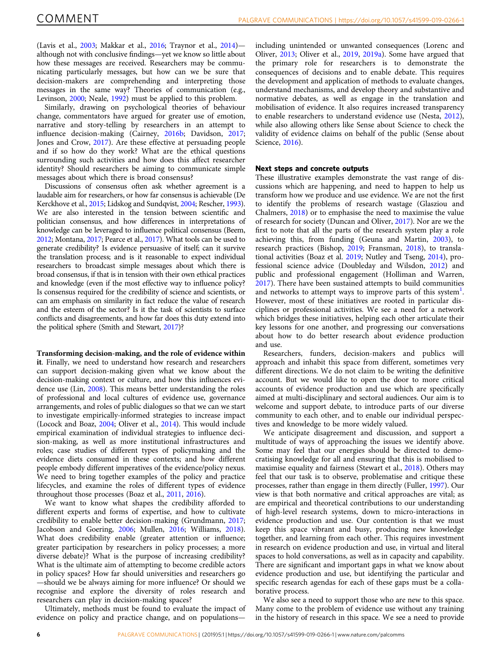(Lavis et al., [2003](#page-7-0); Makkar et al., [2016;](#page-7-0) Traynor et al., [2014\)](#page-8-0) although not with conclusive findings—yet we know so little about how these messages are received. Researchers may be communicating particularly messages, but how can we be sure that decision-makers are comprehending and interpreting those messages in the same way? Theories of communication (e.g., Levinson, [2000;](#page-7-0) Neale, [1992\)](#page-7-0) must be applied to this problem.

Similarly, drawing on psychological theories of behaviour change, commentators have argued for greater use of emotion, narrative and story-telling by researchers in an attempt to influence decision-making (Cairney, [2016b](#page-6-0); Davidson, [2017;](#page-6-0) Jones and Crow, [2017\)](#page-7-0). Are these effective at persuading people and if so how do they work? What are the ethical questions surrounding such activities and how does this affect researcher identity? Should researchers be aiming to communicate simple messages about which there is broad consensus?

Discussions of consensus often ask whether agreement is a laudable aim for researchers, or how far consensus is achievable (De Kerckhove et al., [2015](#page-6-0); Lidskog and Sundqvist, [2004](#page-7-0); Rescher, [1993](#page-8-0)). We are also interested in the tension between scientific and politician consensus, and how differences in interpretations of knowledge can be leveraged to influence political consensus (Beem, [2012](#page-6-0); Montana, [2017;](#page-7-0) Pearce et al., [2017\)](#page-8-0). What tools can be used to generate credibility? Is evidence persuasive of itself; can it survive the translation process; and is it reasonable to expect individual researchers to broadcast simple messages about which there is broad consensus, if that is in tension with their own ethical practices and knowledge (even if the most effective way to influence policy? Is consensus required for the credibility of science and scientists, or can am emphasis on similarity in fact reduce the value of research and the esteem of the sector? Is it the task of scientists to surface conflicts and disagreements, and how far does this duty extend into the political sphere (Smith and Stewart, [2017\)](#page-8-0)?

#### Transforming decision-making, and the role of evidence within

it. Finally, we need to understand how research and researchers can support decision-making given what we know about the decision-making context or culture, and how this influences evidence use (Lin, [2008](#page-7-0)). This means better understanding the roles of professional and local cultures of evidence use, governance arrangements, and roles of public dialogues so that we can we start to investigate empirically-informed strategies to increase impact (Locock and Boaz, [2004;](#page-7-0) Oliver et al., [2014](#page-7-0)). This would include empirical examination of individual strategies to influence decision-making, as well as more institutional infrastructures and roles; case studies of different types of policymaking and the evidence diets consumed in these contexts; and how different people embody different imperatives of the evidence/policy nexus. We need to bring together examples of the policy and practice lifecycles, and examine the roles of different types of evidence throughout those processes (Boaz et al., [2011](#page-6-0), [2016](#page-6-0)).

We want to know what shapes the credibility afforded to different experts and forms of expertise, and how to cultivate credibility to enable better decision-making (Grundmann, [2017;](#page-7-0) Jacobson and Goering, [2006;](#page-7-0) Mullen, [2016](#page-7-0); Williams, [2018](#page-8-0)). What does credibility enable (greater attention or influence; greater participation by researchers in policy processes; a more diverse debate)? What is the purpose of increasing credibility? What is the ultimate aim of attempting to become credible actors in policy spaces? How far should universities and researchers go —should we be always aiming for more influence? Or should we recognise and explore the diversity of roles research and researchers can play in decision-making spaces?

Ultimately, methods must be found to evaluate the impact of evidence on policy and practice change, and on populationsincluding unintended or unwanted consequences (Lorenc and Oliver, [2013;](#page-7-0) Oliver et al., [2019,](#page-7-0) [2019a\)](#page-7-0). Some have argued that the primary role for researchers is to demonstrate the consequences of decisions and to enable debate. This requires the development and application of methods to evaluate changes, understand mechanisms, and develop theory and substantive and normative debates, as well as engage in the translation and mobilisation of evidence. It also requires increased transparency to enable researchers to understand evidence use (Nesta, [2012](#page-7-0)), while also allowing others like Sense about Science to check the validity of evidence claims on behalf of the public (Sense about Science, [2016\)](#page-8-0).

#### Next steps and concrete outputs

These illustrative examples demonstrate the vast range of discussions which are happening, and need to happen to help us transform how we produce and use evidence. We are not the first to identify the problems of research wastage (Glasziou and Chalmers, [2018\)](#page-6-0) or to emphasise the need to maximise the value of research for society (Duncan and Oliver, [2017\)](#page-6-0). Nor are we the first to note that all the parts of the research system play a role achieving this, from funding (Geuna and Martin, [2003\)](#page-6-0), to research practices (Bishop, [2019](#page-6-0); Fransman, [2018\)](#page-6-0), to translational activities (Boaz et al. [2019](#page-6-0); Nutley and Tseng, [2014\)](#page-8-0), professional science advice (Doubleday and Wilsdon, [2012](#page-6-0)) and public and professional engagement (Holliman and Warren, [2017\)](#page-7-0). There have been sustained attempts to build communities and networks to attempt ways to improve parts of this system<sup>[1](#page-6-0)</sup>. However, most of these initiatives are rooted in particular disciplines or professional activities. We see a need for a network which bridges these initiatives, helping each other articulate their key lessons for one another, and progressing our conversations about how to do better research about evidence production and use.

Researchers, funders, decision-makers and publics will approach and inhabit this space from different, sometimes very different directions. We do not claim to be writing the definitive account. But we would like to open the door to more critical accounts of evidence production and use which are specifically aimed at multi-disciplinary and sectoral audiences. Our aim is to welcome and support debate, to introduce parts of our diverse community to each other, and to enable our individual perspectives and knowledge to be more widely valued.

We anticipate disagreement and discussion, and support a multitude of ways of approaching the issues we identify above. Some may feel that our energies should be directed to democratising knowledge for all and ensuring that this is mobilised to maximise equality and fairness (Stewart et al., [2018\)](#page-8-0). Others may feel that our task is to observe, problematise and critique these processes, rather than engage in them directly (Fuller, [1997](#page-6-0)). Our view is that both normative and critical approaches are vital; as are empirical and theoretical contributions to our understanding of high-level research systems, down to micro-interactions in evidence production and use. Our contention is that we must keep this space vibrant and busy, producing new knowledge together, and learning from each other. This requires investment in research on evidence production and use, in virtual and literal spaces to hold conversations, as well as in capacity and capability. There are significant and important gaps in what we know about evidence production and use, but identifying the particular and specific research agendas for each of these gaps must be a collaborative process.

We also see a need to support those who are new to this space. Many come to the problem of evidence use without any training in the history of research in this space. We see a need to provide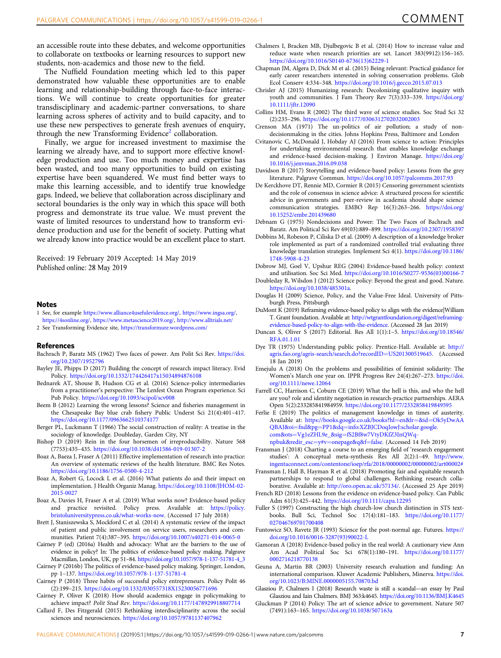<span id="page-6-0"></span>an accessible route into these debates, and welcome opportunities to collaborate on textbooks or learning resources to support new students, non-academics and those new to the field.

The Nuffield Foundation meeting which led to this paper demonstrated how valuable these opportunities are to enable learning and relationship-building through face-to-face interactions. We will continue to create opportunities for greater transdisciplinary and academic-partner conversations, to share learning across spheres of activity and to build capacity, and to use these new perspectives to generate fresh avenues of enquiry, through the new Transforming Evidence<sup>2</sup> collaboration.

Finally, we argue for increased investment to maximise the learning we already have, and to support more effective knowledge production and use. Too much money and expertise has been wasted, and too many opportunities to build on existing expertise have been squandered. We must find better ways to make this learning accessible, and to identify true knowledge gaps. Indeed, we believe that collaboration across disciplinary and sectoral boundaries is the only way in which this space will both progress and demonstrate its true value. We must prevent the waste of limited resources to understand how to transform evidence production and use for the benefit of society. Putting what we already know into practice would be an excellent place to start.

Received: 19 February 2019 Accepted: 14 May 2019 Published online: 28 May 2019

#### Notes

- 1 See, for example <https://www.alliance4usefulevidence.org/>, <https://www.ingsa.org/>, <https://4sonline.org/>, [https://www.metascience2019.org/,](https://www.metascience2019.org/) <http://www.alltrials.net/>
- 2 See Transforming Evidence site, <https://transformure.wordpress.com/>

#### **References**

- Bachrach P, Baratz MS (1962) Two faces of power. Am Polit Sci Rev. [https://doi.](https://doi.org/10.2307/1952796) [org/10.2307/1952796](https://doi.org/10.2307/1952796)
- Bayley JE, Phipps D (2017) Building the concept of research impact literacy. Evid Policy. <https://doi.org/10.1332/174426417x15034894876108>
- Bednarek AT, Shouse B, Hudson CG et al. (2016) Science-policy intermediaries from a practitioner's perspective: The Lenfest Ocean Program experience. Sci Pub Policy. <https://doi.org/10.1093/scipol/scv008>
- Beem B (2012) Learning the wrong lessons? Science and fisheries management in the Chesapeake Bay blue crab fishery Public Underst Sci 21(4):401–417. <https://doi.org/10.1177/0963662510374177>
- Berger PL, Luckmann T (1966) The social construction of reality: A treatise in the sociology of knowledge. Doubleday, Garden City, NY
- Bishop D (2019) Rein in the four horsemen of irreproducibility. Nature 568 (7753):435–435. <https://doi.org/10.1038/d41586-019-01307-2>
- Boaz A, Baeza J, Fraser A (2011) Effective implementation of research into practice: An overview of systematic reviews of the health literature. BMC Res Notes. <https://doi.org/10.1186/1756-0500-4-212>
- Boaz A, Robert G, Locock L et al. (2016) What patients do and their impact on implementation. J Health Organiz Manag. [https://doi.org/10.1108/JHOM-02-](https://doi.org/10.1108/JHOM-02-2015-0027) [2015-0027](https://doi.org/10.1108/JHOM-02-2015-0027)
- Boaz A, Davies H, Fraser A et al. (2019) What works now? Evidence-based policy and practice revisited. Policy press. Available at: [https://policy.](https://policy.bristoluniversitypress.co.uk/what-works-now) [bristoluniversitypress.co.uk/what-works-now](https://policy.bristoluniversitypress.co.uk/what-works-now). (Accessed 17 July 2018)
- Brett J, Staniszewska S, Mockford C et al. (2014) A systematic review of the impact of patient and public involvement on service users, researchers and communities. Patient 7(4):387–395. <https://doi.org/10.1007/s40271-014-0065-0>
- Cairney P (ed) (2016a) Health and advocacy: What are the barriers to the use of evidence in policy? In: The politics of evidence-based policy making. Palgrave Macmillan, London, UK, pp 51–84. [https://doi.org/10.1057/978-1-137-51781-4\\_3](https://doi.org/10.1057/978-1-137-51781-4_3)
- Cairney P (2016b) The politics of evidence-based policy making. Springer, London, pp 1–137. <https://doi.org/10.1057/978-1-137-51781-4>
- Cairney P (2018) Three habits of successful policy entrepreneurs. Policy Polit 46 (2):199–215. <https://doi.org/10.1332/030557318X15230056771696>
- Cairney P, Oliver K (2018) How should academics engage in policymaking to achieve impact? Polit Stud Rev. <https://doi.org/10.1177/1478929918807714>
- Callard F, Des Fitzgerald (2015) Rethinking interdisciplinarity across the social sciences and neurosciences. <https://doi.org/10.1057/9781137407962>
- Chalmers I, Bracken MB, Djulbegovic B et al. (2014) How to increase value and reduce waste when research priorities are set. Lancet 383(9912):156–165. [https://doi.org/10.1016/S0140-6736\(13\)62229-1](https://doi.org/10.1016/S0140-6736(13)62229-1)
- Chapman JM, Algera D, Dick M et al. (2015) Being relevant: Practical guidance for early career researchers interested in solving conservation problems. Glob Ecol Conserv 4:334–348. <https://doi.org/10.1016/j.gecco.2015.07.013>
- Chrisler AJ (2015) Humanizing research: Decolonizing qualitative inquiry with youth and communities. J Fam Theory Rev 7(3):333–339. [https://doi.org/](https://doi.org/10.1111/jftr.12090) [10.1111/jftr.12090](https://doi.org/10.1111/jftr.12090)
- Collins HM, Evans R (2002) The third wave of science studies. Soc Stud Sci 32 (2):235–296. <https://doi.org/10.1177/0306312702032002003>
- Crenson MA (1971) The un-politics of air pollution; a study of nondecisionmaking in the cities. Johns Hopkins Press, Baltimore and London
- Cvitanovic C, McDonald J, Hobday AJ (2016) From science to action: Principles for undertaking environmental research that enables knowledge exchange and evidence-based decision-making. J Environ Manage. [https://doi.org/](https://doi.org/10.1016/j.jenvman.2016.09.038) [10.1016/j.jenvman.2016.09.038](https://doi.org/10.1016/j.jenvman.2016.09.038)
- Davidson B (2017) Storytelling and evidence-based policy: Lessons from the grey literature. Palgrave Commun. <https://doi.org/10.1057/palcomms.2017.93>
- De Kerckhove DT, Rennie MD, Cormier R (2015) Censoring government scientists and the role of consensus in science advice: A structured process for scientific advice in governments and peer-review in academia should shape science communication strategies. EMBO Rep 16(3):263–266. [https://doi.org/](https://doi.org/10.15252/embr.201439680) [10.15252/embr.201439680](https://doi.org/10.15252/embr.201439680)
- Debnam G (1975) Nondecisions and Power: The Two Faces of Bachrach and Baratz. Am Political Sci Rev 69(03):889–899. <https://doi.org/10.2307/1958397>
- Dobbins M, Robeson P, Ciliska D et al. (2009) A description of a knowledge broker role implemented as part of a randomized controlled trial evaluating three knowledge translation strategies. Implement Sci 4(1). [https://doi.org/10.1186/](https://doi.org/10.1186/1748-5908-4-23) [1748-5908-4-23](https://doi.org/10.1186/1748-5908-4-23)
- Dobrow MJ, Goel V, Upshur REG (2004) Evidence-based health policy: context and utilisation. Soc Sci Med. [https://doi.org/10.1016/S0277-9536\(03\)00166-7](https://doi.org/10.1016/S0277-9536(03)00166-7)
- Doubleday R, Wilsdon J (2012) Science policy: Beyond the great and good. Nature. <https://doi.org/10.1038/485301a>.
- Douglas H (2009) Science, Policy, and the Value-Free Ideal. University of Pittsburgh Press, Pittsburgh
- DuMont K (2019) Reframing evidence-based policy to align with the evidence|William T. Grant foundation. Available at: [http://wtgrantfoundation.org/digest/reframing](http://wtgrantfoundation.org/digest/reframing-evidence-based-policy-to-align-with-the-evidence)[evidence-based-policy-to-align-with-the-evidence.](http://wtgrantfoundation.org/digest/reframing-evidence-based-policy-to-align-with-the-evidence) (Accessed 28 Jan 2019)
- Duncan S, Oliver S (2017) Editorial. Res All 1(1):1–5. [https://doi.org/10.18546/](https://doi.org/10.18546/RFA.01.1.01) [RFA.01.1.01](https://doi.org/10.18546/RFA.01.1.01)
- Dye TR (1975) Understanding public policy. Prentice-Hall. Available at: [http://](http://agris.fao.org/agris-search/search.do?recordID=US201300519645) [agris.fao.org/agris-search/search.do?recordID](http://agris.fao.org/agris-search/search.do?recordID=US201300519645)=US201300519645. (Accessed 18 Jan 2019)
- Emejulu A (2018) On the problems and possibilities of feminist solidarity: The Women's March one year on. IPPR Progress Rev 24(4):267–273. [https://doi.](https://doi.org/10.1111/newe.12064) [org/10.1111/newe.12064](https://doi.org/10.1111/newe.12064)
- Farrell CC, Harrison C, Coburn CE (2019) What the hell is this, and who the hell are you? role and identity negotiation in research-practice partnerships. AERA Open 5(2):233285841984959. <https://doi.org/10.1177/2332858419849595>
- Ferlie E (2019) The politics of management knowledge in times of austerity. Available at: [https://books.google.co.uk/books?hl](https://books.google.co.uk/books?hl=en&lr=&id=Ok5yDwAAQBAJ&oi=fnd&pg=PP1&dq=info:XZBJCDoqIowJ:scholar.google.com&ots=Vg1eZHL9e_&sig=fS2Bf8w7VtyDKfZ3InQWq-npbuk&redir_esc=y#v=onepage&q&f=false)=en&lr=&id=Ok5yDwAA QBAJ&oi=fnd&pg=PP1&dq=[info:XZBJCDoqIowJ:scholar.google.](https://books.google.co.uk/books?hl=en&lr=&id=Ok5yDwAAQBAJ&oi=fnd&pg=PP1&dq=info:XZBJCDoqIowJ:scholar.google.com&ots=Vg1eZHL9e_&sig=fS2Bf8w7VtyDKfZ3InQWq-npbuk&redir_esc=y#v=onepage&q&f=false) com&ots=Vg1eZHL9e\_&sig=[fS2Bf8w7VtyDKfZ3InQWq-](https://books.google.co.uk/books?hl=en&lr=&id=Ok5yDwAAQBAJ&oi=fnd&pg=PP1&dq=info:XZBJCDoqIowJ:scholar.google.com&ots=Vg1eZHL9e_&sig=fS2Bf8w7VtyDKfZ3InQWq-npbuk&redir_esc=y#v=onepage&q&f=false)

[npbuk&redir\\_esc](https://books.google.co.uk/books?hl=en&lr=&id=Ok5yDwAAQBAJ&oi=fnd&pg=PP1&dq=info:XZBJCDoqIowJ:scholar.google.com&ots=Vg1eZHL9e_&sig=fS2Bf8w7VtyDKfZ3InQWq-npbuk&redir_esc=y#v=onepage&q&f=false)=y#v=onepage&q&f=false. (Accessed 14 Feb 2019)

- Fransman J (2018) Charting a course to an emerging field of 'research engagement studies': A conceptual meta-synthesis Res All 2(2):1–49. [http://www.](http://www.ingentaconnect.com/contentone/ioep/rfa/2018/00000002/00000002/art00002#) [ingentaconnect.com/contentone/ioep/rfa/2018/00000002/00000002/art00002#](http://www.ingentaconnect.com/contentone/ioep/rfa/2018/00000002/00000002/art00002#)
- Fransman J, Hall B, Hayman R et al. (2018) Promoting fair and equitable research partnerships to respond to global challenges. Rethinking research collaborative. Available at: <http://oro.open.ac.uk/57134/>. (Accessed 25 Apr 2019)
- French RD (2018) Lessons from the evidence on evidence-based policy. Can Public Adm 61(3):425–442. <https://doi.org/10.1111/capa.12295>
- Fuller S (1997) Constructing the high church-low church distinction in STS textbooks. Bull Sci, Technol Soc 17(4):181–183. [https://doi.org/10.1177/](https://doi.org/10.1177/027046769701700408) [027046769701700408](https://doi.org/10.1177/027046769701700408)
- Funtowicz SO, Ravetz JR (1993) Science for the post-normal age. Futures. [https://](https://doi.org/10.1016/0016-3287(93)90022-L) [doi.org/10.1016/0016-3287\(93\)90022-L](https://doi.org/10.1016/0016-3287(93)90022-L)
- Gamoran A (2018) Evidence-based policy in the real world: A cautionary view Ann Am Acad Political Soc Sci 678(1):180–191. [https://doi.org/10.1177/](https://doi.org/10.1177/0002716218770138) [0002716218770138](https://doi.org/10.1177/0002716218770138)
- Geuna A, Martin BR (2003) University research evaluation and funding: An international comparison. Kluwer Academic Publishers, Minerva. [https://doi.](https://doi.org/10.1023/B:MINE.0000005155.70870.bd) [org/10.1023/B:MINE.0000005155.70870.bd](https://doi.org/10.1023/B:MINE.0000005155.70870.bd)
- Glasziou P, Chalmers I (2018) Research waste is still a scandal—an essay by Paul Glasziou and Iain Chalmers. BMJ 363:k4645. <https://doi.org/10.1136/BMJ.K4645>
- Gluckman P (2014) Policy: The art of science advice to government. Nature 507 (7491):163–165. <https://doi.org/10.1038/507163a>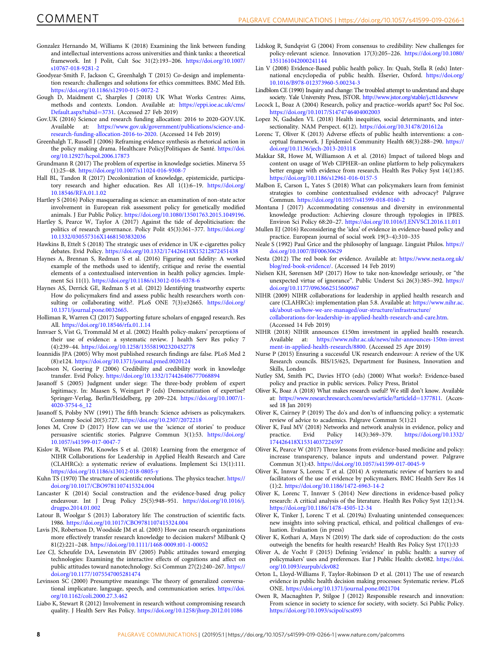- <span id="page-7-0"></span>Gonzalez Hernando M, Williams K (2018) Examining the link between funding and intellectual interventions across universities and think tanks: a theoretical framework. Int J Polit, Cult Soc 31(2):193–206. [https://doi.org/10.1007/](https://doi.org/10.1007/s10767-018-9281-2) [s10767-018-9281-2](https://doi.org/10.1007/s10767-018-9281-2)
- Goodyear-Smith F, Jackson C, Greenhalgh T (2015) Co-design and implementation research: challenges and solutions for ethics committees. BMC Med Eth. <https://doi.org/10.1186/s12910-015-0072-2>
- Gough D, Maidment C, Sharples J (2018) UK What Works Centres: Aims, methods and contexts. London. Available at: [https://eppi.ioe.ac.uk/cms/](https://eppi.ioe.ac.uk/cms/Default.aspx?tabid=3731) [Default.aspx?tabid](https://eppi.ioe.ac.uk/cms/Default.aspx?tabid=3731)=3731. (Accessed 27 Feb 2019)
- Gov.UK (2016) Science and research funding allocation: 2016 to 2020-GOV.UK. Available at: [https://www.gov.uk/government/publications/science-and](https://www.gov.uk/government/publications/science-and-research-funding-allocation-2016-to-2020)[research-funding-allocation-2016-to-2020.](https://www.gov.uk/government/publications/science-and-research-funding-allocation-2016-to-2020) (Accessed 14 Feb 2019)
- Greenhalgh T, Russell J (2006) Reframing evidence synthesis as rhetorical action in the policy making drama. Healthcare Policy|Politiques de Santé. [https://doi.](https://doi.org/10.12927/hcpol.2006.17873) [org/10.12927/hcpol.2006.17873](https://doi.org/10.12927/hcpol.2006.17873)
- Grundmann R (2017) The problem of expertise in knowledge societies. Minerva 55 (1):25–48. <https://doi.org/10.1007/s11024-016-9308-7>
- Hall BL, Tandon R (2017) Decolonization of knowledge, epistemicide, participatory research and higher education. Res All 1(1):6–19. [https://doi.org/](https://doi.org/10.18546/RFA.01.1.02) [10.18546/RFA.01.1.02](https://doi.org/10.18546/RFA.01.1.02)
- Hartley S (2016) Policy masquerading as science: an examination of non-state actor involvement in European risk assessment policy for genetically modified animals. J Eur Public Policy. <https://doi.org/10.1080/13501763.2015.1049196>.
- Hartley S, Pearce W, Taylor A (2017) Against the tide of depoliticisation: the politics of research governance. Policy Polit 45(3):361–377. [https://doi.org/](https://doi.org/10.1332/030557316X14681503832036) [10.1332/030557316X14681503832036](https://doi.org/10.1332/030557316X14681503832036)
- Hawkins B, Ettelt S (2018) The strategic uses of evidence in UK e-cigarettes policy debates. Evid Policy. <https://doi.org/10.1332/174426418X15212872451438>
- Haynes A, Brennan S, Redman S et al. (2016) Figuring out fidelity: A worked example of the methods used to identify, critique and revise the essential elements of a contextualised intervention in health policy agencies. Implement Sci 11(1). <https://doi.org/10.1186/s13012-016-0378-6>
- Haynes AS, Derrick GE, Redman S et al. (2012) Identifying trustworthy experts: How do policymakers find and assess public health researchers worth consulting or collaborating with?. PLoS ONE 7(3):e32665. [https://doi.org/](https://doi.org/10.1371/journal.pone.0032665) [10.1371/journal.pone.0032665.](https://doi.org/10.1371/journal.pone.0032665)
- Holliman R, Warren CJ (2017) Supporting future scholars of engaged research. Res All. <https://doi.org/10.18546/rfa.01.1.14>
- Innvaer S, Vist G, Trommald M et al. (2002) Health policy-makers' perceptions of their use of evidence: a systematic review. J health Serv Res policy 7 (4):239–44. <https://doi.org/10.1258/135581902320432778>
- Ioannidis JPA (2005) Why most published research findings are false. PLoS Med 2 (8):e124. <https://doi.org/10.1371/journal.pmed.0020124>
- Jacobson N, Goering P (2006) Credibility and credibility work in knowledge transfer. Evid Policy. <https://doi.org/10.1332/174426406777068894>
- Jasanoff S (2005) Judgment under siege: The three-body problem of expert legitimacy. In: Maasen S, Weingart P (eds) Democratization of expertise? Springer-Verlag, Berlin/Heidelberg, pp 209–224. [https://doi.org/10.1007/1-](https://doi.org/10.1007/1-4020-3754-6_12) [4020-3754-6\\_12](https://doi.org/10.1007/1-4020-3754-6_12)
- Jasanoff S, Polsby NW (1991) The fifth branch: Science advisers as policymakers. Contemp Sociol 20(5):727. <https://doi.org/10.2307/2072218>
- Jones M, Crow D (2017) How can we use the 'science of stories' to produce persuasive scientific stories. Palgrave Commun 3(1):53. [https://doi.org/](https://doi.org/10.1057/s41599-017-0047-7) [10.1057/s41599-017-0047-7](https://doi.org/10.1057/s41599-017-0047-7)
- Kislov R, Wilson PM, Knowles S et al. (2018) Learning from the emergence of NIHR Collaborations for Leadership in Applied Health Research and Care (CLAHRCs): a systematic review of evaluations. Implement Sci 13(1):111. <https://doi.org/10.1186/s13012-018-0805-y>
- Kuhn TS (1970) The structure of scientific revolutions. The physics teacher. [https://](https://doi.org/10.1017/CBO9781107415324.004) [doi.org/10.1017/CBO9781107415324.004](https://doi.org/10.1017/CBO9781107415324.004)
- Lancaster K (2014) Social construction and the evidence-based drug policy endeavour. Int J Drug Policy 25(5):948–951. [https://doi.org/10.1016/j.](https://doi.org/10.1016/j.drugpo.2014.01.002) [drugpo.2014.01.002](https://doi.org/10.1016/j.drugpo.2014.01.002)
- Latour B, Woolgar S (2013) Laboratory life: The construction of scientific facts. 1986. <https://doi.org/10.1017/CBO9781107415324.004>
- Lavis JN, Robertson D, Woodside JM et al. (2003) How can research organizations more effectively transfer research knowledge to decision makers? Milbank Q 81(2):221–248. <https://doi.org/10.1111/1468-0009.t01-1-00052>
- Lee CJ, Scheufele DA, Lewenstein BV (2005) Public attitudes toward emerging technologies: Examining the interactive effects of cognitions and affect on public attitudes toward nanotechnology. Sci Commun 27(2):240–267. [https://](https://doi.org/10.1177/1075547005281474) [doi.org/10.1177/1075547005281474](https://doi.org/10.1177/1075547005281474)
- Levinson SC (2000) Presumptive meanings: The theory of generalized conversational implicature. language, speech, and communication series. [https://doi.](https://doi.org/10.1162/coli.2000.27.3.462) [org/10.1162/coli.2000.27.3.462](https://doi.org/10.1162/coli.2000.27.3.462)
- Liabo K, Stewart R (2012) Involvement in research without compromising research quality. J Health Serv Res Policy. <https://doi.org/10.1258/jhsrp.2012.011086>
- Lidskog R, Sundqvist G (2004) From consensus to credibility: New challenges for policy-relevant science. Innovation 17(3):205–226. [https://doi.org/10.1080/](https://doi.org/10.1080/1351161042000241144) [1351161042000241144](https://doi.org/10.1080/1351161042000241144)
- Lin V (2008) Evidence-Based public health policy. In: Quah, Stella R (eds) International encyclopedia of public health. Elsevier, Oxford. [https://doi.org/](https://doi.org/10.1016/B978-012373960-5.00234-3) [10.1016/B978-012373960-5.00234-3](https://doi.org/10.1016/B978-012373960-5.00234-3)
- Lindblom CE (1990) Inquiry and change: The troubled attempt to understand and shape society. Yale University Press, JSTOR. <http://www.jstor.org/stable/j.ctt1dszwww>
- Locock L, Boaz A (2004) Research, policy and practice–worlds apart? Soc Pol Soc. <https://doi.org/10.1017/S1474746404002003>
- Lopez N, Gadsden VL (2018) Health inequities, social determinants, and intersectionality. NAM Perspect. 6(12). <https://doi.org/10.31478/201612a>
- Lorenc T, Oliver K (2013) Adverse effects of public health interventions: a conceptual framework. J Epidemiol Community Health 68(3):288–290. [https://](https://doi.org/10.1136/jech-2013-203118) [doi.org/10.1136/jech-2013-203118](https://doi.org/10.1136/jech-2013-203118)
- Makkar SR, Howe M, Williamson A et al. (2016) Impact of tailored blogs and content on usage of Web CIPHER–an online platform to help policymakers better engage with evidence from research. Health Res Policy Syst 14(1):85. <https://doi.org/10.1186/s12961-016-0157-5>
- Malbon E, Carson L, Yates S (2018) What can policymakers learn from feminist strategies to combine contextualised evidence with advocacy? Palgrave Commun. <https://doi.org/10.1057/s41599-018-0160-2>
- Montana J (2017) Accommodating consensus and diversity in environmental knowledge production: Achieving closure through typologies in IPBES. Environ Sci Policy 68:20–27. <https://doi.org/10.1016/J.ENVSCI.2016.11.011>
- Mullen EJ (2016) Reconsidering the 'idea' of evidence in evidence-based policy and practice. European journal of social work 19(3–4):310–335
- Neale S (1992) Paul Grice and the philosophy of language. Linguist Philos. [https://](https://doi.org/10.1007/BF00630629) [doi.org/10.1007/BF00630629](https://doi.org/10.1007/BF00630629)
- Nesta (2012) The red book for evidence. Available at: [https://www.nesta.org.uk/](https://www.nesta.org.uk/blog/red-book-evidence/) [blog/red-book-evidence/.](https://www.nesta.org.uk/blog/red-book-evidence/) (Accessed 14 Feb 2019)
- Nielsen KH, Sørensen MP (2017) How to take non-knowledge seriously, or "the unexpected virtue of ignorance". Public Underst Sci 26(3):385–392. [https://](https://doi.org/10.1177/0963662515600967) [doi.org/10.1177/0963662515600967](https://doi.org/10.1177/0963662515600967)
- NIHR (2009) NIHR collaborations for leadership in applied health research and care (CLAHRCs): implementation plan 5.8. Available at: [https://www.nihr.ac.](https://www.nihr.ac.uk/about-us/how-we-are-managed/our-structure/infrastructure/collaborations-for-leadership-in-applied-health-research-and-care.htm) [uk/about-us/how-we-are-managed/our-structure/infrastructure/](https://www.nihr.ac.uk/about-us/how-we-are-managed/our-structure/infrastructure/collaborations-for-leadership-in-applied-health-research-and-care.htm)

[collaborations-for-leadership-in-applied-health-research-and-care.htm.](https://www.nihr.ac.uk/about-us/how-we-are-managed/our-structure/infrastructure/collaborations-for-leadership-in-applied-health-research-and-care.htm) (Accessed 14 Feb 2019)

- NIHR (2018) NIHR announces £150m investment in applied health research. Available at: [https://www.nihr.ac.uk/news/nihr-announces-150m-invest](https://www.nihr.ac.uk/news/nihr-announces-150m-investment-in-applied-health-research/8800) [ment-in-applied-health-research/8800.](https://www.nihr.ac.uk/news/nihr-announces-150m-investment-in-applied-health-research/8800) (Accessed 25 Apr 2019)
- Nurse P (2015) Ensuring a successful UK research endeavour: A review of the UK Research councils. BIS/15/625, Department for Business, Innovation and Skills, London
- Nutley SM, Smith PC, Davies HTO (eds) (2000) What works?: Evidence-based policy and practice in public services. Policy Press, Bristol
- Oliver K, Boaz A (2018) What makes research useful? We still don't know. Available at: [https://www.researchresearch.com/news/article/?articleId](https://www.researchresearch.com/news/article/?articleId=1377811)=1377811. (Accessed 18 Jan 2019)
- Oliver K, Cairney P (2019) The do's and don'ts of influencing policy: a systematic review of advice to academics. Palgrave Commun 5(1):21
- Oliver K, Faul MV (2018) Networks and network analysis in evidence, policy and practice. Evid Policy 14(3):369-379. https://doi.org/10.1332/ [https://doi.org/10.1332/](https://doi.org/10.1332/174426418X15314037224597) [174426418X15314037224597](https://doi.org/10.1332/174426418X15314037224597)
- Oliver K, Pearce W (2017) Three lessons from evidence-based medicine and policy: increase transparency, balance inputs and understand power. Palgrave Commun 3(1):43. <https://doi.org/10.1057/s41599-017-0045-9>
- Oliver K, Innvar S, Lorenc T et al. (2014) A systematic review of barriers to and facilitators of the use of evidence by policymakers. BMC Health Serv Res 14 (1):2. <https://doi.org/10.1186/1472-6963-14-2>
- Oliver K, Lorenc T, Innvær S (2014) New directions in evidence-based policy research: A critical analysis of the literature. Health Res Policy Syst 12(1):34. <https://doi.org/10.1186/1478-4505-12-34>
- Oliver K, Tinker J, Lorenc T et al. (2019a) Evaluating unintended consequences: new insights into solving practical, ethical, and political challenges of evaluation. Evaluation (in press)
- Oliver K, Kothari A, Mays N (2019) The dark side of coproduction: do the costs outweigh the benefits for health research? Health Res Policy Syst 17(1):33
- Oliver A, de Vocht F (2015) Defining 'evidence' in public health: a survey of policymakers' uses and preferences. Eur J Public Health: ckv082. [https://doi.](https://doi.org/10.1093/eurpub/ckv082) [org/10.1093/eurpub/ckv082](https://doi.org/10.1093/eurpub/ckv082)
- Orton L, Lloyd-Williams F, Taylor-Robinson D et al. (2011) The use of research evidence in public health decision making processes: Systematic review. PLoS ONE. <https://doi.org/10.1371/journal.pone.0021704>
- Owen R, Macnaghten P, Stilgoe J (2012) Responsible research and innovation: From science in society to science for society, with society. Sci Public Policy. <https://doi.org/10.1093/scipol/scs093>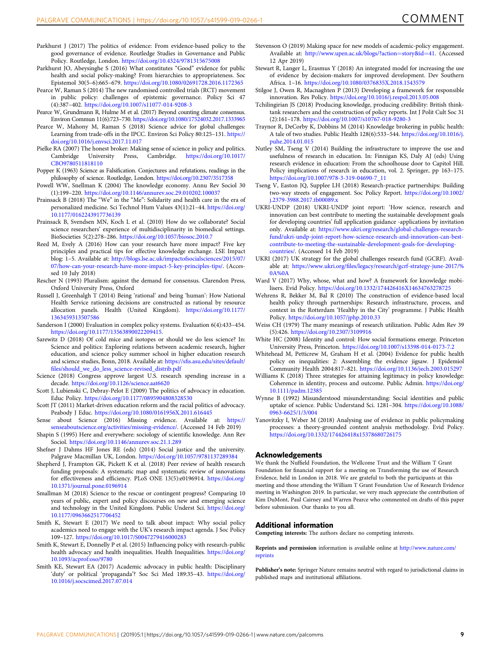- <span id="page-8-0"></span>Parkhurst J (2017) The politics of evidence: From evidence-based policy to the good governance of evidence. Routledge Studies in Governance and Public Policy. Routledge, London. <https://doi.org/10.4324/9781315675008>
- Parkhurst JO, Abeysinghe S (2016) What constitutes "Good" evidence for public health and social policy-making? From hierarchies to appropriateness. Soc Epistemol 30(5–6):665–679. <https://doi.org/10.1080/02691728.2016.1172365>
- Pearce W, Raman S (2014) The new randomised controlled trials (RCT) movement in public policy: challenges of epistemic governance. Policy Sci 47 (4):387–402. <https://doi.org/10.1007/s11077-014-9208-3>
- Pearce W, Grundmann R, Hulme M et al. (2017) Beyond counting climate consensus. Environ Commun 11(6):723–730. <https://doi.org/10.1080/17524032.2017.1333965>
- Pearce W, Mahony M, Raman S (2018) Science advice for global challenges: Learning from trade-offs in the IPCC. Environ Sci Policy 80:125–131. [https://](https://doi.org/10.1016/j.envsci.2017.11.017) [doi.org/10.1016/j.envsci.2017.11.017](https://doi.org/10.1016/j.envsci.2017.11.017)
- Pielke RA (2007) The honest broker: Making sense of science in policy and politics. Cambridge University Press, Cambridge. [https://doi.org/10.1017/](https://doi.org/10.1017/CBO9780511818110) [CBO9780511818110](https://doi.org/10.1017/CBO9780511818110)
- Popper K (1963) Science as Falsification. Conjectures and refutations, readings in the philosophy of science. Routledge, London. <https://doi.org/10.2307/3517358>
- Powell WW, Snellman K (2004) The knowledge economy. Annu Rev Sociol 30 (1):199–220. <https://doi.org/10.1146/annurev.soc.29.010202.100037>
- Prainsack B (2018) The "We" in the "Me": Solidarity and health care in the era of personalized medicine. Sci Technol Hum Values 43(1):21–44. [https://doi.org/](https://doi.org/10.1177/0162243917736139) [10.1177/0162243917736139](https://doi.org/10.1177/0162243917736139)
- Prainsack B, Svendsen MN, Koch L et al. (2010) How do we collaborate? Social science researchers' experience of multidisciplinarity in biomedical settings. BioSocieties 5(2):278–286. <https://doi.org/10.1057/biosoc.2010.7>
- Reed M, Evely A (2016) How can your research have more impact? Five key principles and practical tips for effective knowledge exchange. LSE Impact blog: 1–5. Available at: [http://blogs.lse.ac.uk/impactofsocialsciences/2015/07/](http://blogs.lse.ac.uk/impactofsocialsciences/2015/07/07/how-can-your-research-have-more-impact-5-key-principles-tips/) [07/how-can-your-research-have-more-impact-5-key-principles-tips/.](http://blogs.lse.ac.uk/impactofsocialsciences/2015/07/07/how-can-your-research-have-more-impact-5-key-principles-tips/) (Accessed 10 July 2018)
- Rescher N (1993) Pluralism: against the demand for consensus. Clarendon Press, Oxford University Press, Oxford
- Russell J, Greenhalgh T (2014) Being 'rational' and being 'human': How National Health Service rationing decisions are constructed as rational by resource allocation panels. Health (United Kingdom). [https://doi.org/10.1177/](https://doi.org/10.1177/1363459313507586) [1363459313507586](https://doi.org/10.1177/1363459313507586)
- Sanderson I (2000) Evaluation in complex policy systems. Evaluation 6(4):433–454. <https://doi.org/10.1177/13563890022209415>.
- Sarewitz D (2018) Of cold mice and isotopes or should we do less science? In: Science and politics: Exploring relations between academic research, higher education, and science policy summer school in higher education research and science studies, Bonn, 2018. Available at: https://sfi[s.asu.edu/sites/default/](https://sfis.asu.edu/sites/default/files/should_we_do_less_science-revised_distrib.pdf) fi[les/should\\_we\\_do\\_less\\_science-revised\\_distrib.pdf](https://sfis.asu.edu/sites/default/files/should_we_do_less_science-revised_distrib.pdf)
- Science (2018) Congress approve largest U.S. research spending increase in a decade. <https://doi.org/10.1126/science.aat6620>
- Scott J, Lubienski C, Debray-Pelot E (2009) The politics of advocacy in education. Educ Policy. <https://doi.org/10.1177/0895904808328530>
- Scott JT (2011) Market-driven education reform and the racial politics of advocacy. Peabody J Educ. <https://doi.org/10.1080/0161956X.2011.616445>
- Sense about Science (2016) Missing evidence. Available at: [https://](https://senseaboutscience.org/activities/missing-evidence/) [senseaboutscience.org/activities/missing-evidence/.](https://senseaboutscience.org/activities/missing-evidence/) (Accessed 14 Feb 2019)
- Shapin S (1995) Here and everywhere: sociology of scientific knowledge. Ann Rev Sociol. <https://doi.org/10.1146/annurev.soc.21.1.289>
- Shefner J Dahms HF Jones RE (eds) (2014) Social justice and the university. Palgrave Macmillan UK, London. <https://doi.org/10.1057/9781137289384>
- Shepherd J, Frampton GK, Pickett K et al. (2018) Peer review of health research funding proposals: A systematic map and systematic review of innovations for effectiveness and efficiency. PLoS ONE 13(5):e0196914. [https://doi.org/](https://doi.org/10.1371/journal.pone.0196914) [10.1371/journal.pone.0196914](https://doi.org/10.1371/journal.pone.0196914)
- Smallman M (2018) Science to the rescue or contingent progress? Comparing 10 years of public, expert and policy discourses on new and emerging science and technology in the United Kingdom. Public Underst Sci. [https://doi.org/](https://doi.org/10.1177/0963662517706452) [10.1177/0963662517706452](https://doi.org/10.1177/0963662517706452)
- Smith K, Stewart E (2017) We need to talk about impact: Why social policy academics need to engage with the UK's research impact agenda. J Soc Policy 109–127. <https://doi.org/10.1017/S0047279416000283>
- Smith K, Stewart E, Donnelly P et al. (2015) Influencing policy with research-public health advocacy and health inequalities. Health Inequalities. [https://doi.org/](https://doi.org/10.1093/acprof:oso/9780) [10.1093/acprof:oso/9780](https://doi.org/10.1093/acprof:oso/9780)
- Smith KE, Stewart EA (2017) Academic advocacy in public health: Disciplinary 'duty' or political 'propaganda'? Soc Sci Med 189:35-43. [https://doi.org/](https://doi.org/10.1016/j.socscimed.2017.07.014) [10.1016/j.socscimed.2017.07.014](https://doi.org/10.1016/j.socscimed.2017.07.014)
- Stevenson O (2019) Making space for new models of academic-policy engagement. Available at: [http://www.upen.ac.uk/blogs/?action](http://www.upen.ac.uk/blogs/?action=story&id=41)=story&id=41. (Accessed 12 Apr 2019)
- Stewart R, Langer L, Erasmus Y (2018) An integrated model for increasing the use of evidence by decision-makers for improved development. Dev Southern Africa. 1–16. <https://doi.org/10.1080/0376835X.2018.1543579>
- Stilgoe J, Owen R, Macnaghten P (2013) Developing a framework for responsible innovation. Res Policy. <https://doi.org/10.1016/j.respol.2013.05.008>
- Tchilingirian JS (2018) Producing knowledge, producing credibility: British thinktank researchers and the construction of policy reports. Int J Polit Cult Soc 31 (2):161–178. <https://doi.org/10.1007/s10767-018-9280-3>
- Traynor R, DeCorby K, Dobbins M (2014) Knowledge brokering in public health: A tale of two studies. Public Health 128(6):533–544. [https://doi.org/10.1016/j.](https://doi.org/10.1016/j.puhe.2014.01.015) [puhe.2014.01.015](https://doi.org/10.1016/j.puhe.2014.01.015)
- Nutley SM, Tseng V (2014) Building the infrastructure to improve the use and usefulness of research in education. In: Finnigan KS, Daly AJ (eds) Using research evidence in education: From the schoolhouse door to Capitol Hill. Policy implications of research in education, vol. 2. Springer, pp 163–175. [https://doi.org/10.1007/978-3-319-04690-7\\_11](https://doi.org/10.1007/978-3-319-04690-7_11)
- Tseng V, Easton JQ, Supplee LH (2018) Research-practice partnerships: Building two-way streets of engagement. Soc Policy Report. [https://doi.org/10.1002/](https://doi.org/10.1002/j.2379-3988.2017.tb00089.x) [j.2379-3988.2017.tb00089.x](https://doi.org/10.1002/j.2379-3988.2017.tb00089.x)
- UKRI-UNDP (2018) UKRI-UNDP joint report: 'How science, research and innovation can best contribute to meeting the sustainable development goals for developing countries' full application guidance -applications by invitation only. Available at: [https://www.ukri.org/research/global-challenges-research](https://www.ukri.org/research/global-challenges-research-fund/ukri-undp-joint-report-how-science-research-and-innovation-can-best-contribute-to-meeting-the-sustainable-development-goals-for-developing-countries/)[fund/ukri-undp-joint-report-how-science-research-and-innovation-can-best](https://www.ukri.org/research/global-challenges-research-fund/ukri-undp-joint-report-how-science-research-and-innovation-can-best-contribute-to-meeting-the-sustainable-development-goals-for-developing-countries/)[contribute-to-meeting-the-sustainable-development-goals-for-developing](https://www.ukri.org/research/global-challenges-research-fund/ukri-undp-joint-report-how-science-research-and-innovation-can-best-contribute-to-meeting-the-sustainable-development-goals-for-developing-countries/)[countries/.](https://www.ukri.org/research/global-challenges-research-fund/ukri-undp-joint-report-how-science-research-and-innovation-can-best-contribute-to-meeting-the-sustainable-development-goals-for-developing-countries/) (Accessed 14 Feb 2019)
- UKRI (2017) UK strategy for the global challenges research fund (GCRF). Available at: https://www.ukri.org/fi[les/legacy/research/gcrf-strategy-june-2017/%](https://www.ukri.org/files/legacy/research/gcrf-strategy-june-2017/%0A%0A) [0A%0A](https://www.ukri.org/files/legacy/research/gcrf-strategy-june-2017/%0A%0A)
- Ward V (2017) Why, whose, what and how? A framework for knowledge mobilisers. Evid Policy. <https://doi.org/10.1332/174426416X14634763278725>
- Wehrens R, Bekker M, Bal R (2010) The construction of evidence-based local health policy through partnerships: Research infrastructure, process, and context in the Rotterdam 'Healthy in the City' programme. J Public Health Policy. <https://doi.org/10.1057/jphp.2010.33>
- Weiss CH (1979) The many meanings of research utilization. Public Adm Rev 39 (5):426. <https://doi.org/10.2307/3109916>
- White HC (2008) Identity and control: How social formations emerge. Princeton University Press, Princeton. <https://doi.org/10.1007/s13398-014-0173-7.2>
- Whitehead M, Petticrew M, Graham H et al. (2004) Evidence for public health policy on inequalities: 2: Assembling the evidence jigsaw. J Epidemiol Community Health 2004:817–821. <https://doi.org/10.1136/jech.2003.015297>
- Williams K (2018) Three strategies for attaining legitimacy in policy knowledge: Coherence in identity, process and outcome. Public Admin. [https://doi.org/](https://doi.org/10.1111/padm.12385) [10.1111/padm.12385](https://doi.org/10.1111/padm.12385)
- Wynne B (1992) Misunderstood misunderstanding: Social identities and public uptake of science. Public Understand Sci. 1281–304. [https://doi.org/10.1088/](https://doi.org/10.1088/0963-6625/1/3/004) [0963-6625/1/3/004](https://doi.org/10.1088/0963-6625/1/3/004)
- Yanovitzky I, Weber M (2018) Analysing use of evidence in public policymaking processes: a theory-grounded content analysis methodology. Evid Policy. <https://doi.org/10.1332/174426418x15378680726175>

#### Acknowledgements

We thank the Nuffield Foundation, the Wellcome Trust and the William T Grant Foundation for financial support for a meeting on Transforming the use of Research Evidence, held in London in 2018. We are grateful to both the participants at this meeting and those attending the William T Grant Foundation Use of Research Evidence meeting in Washington 2019. In particular, we very much appreciate the contribution of Kim DuMont, Paul Cairney and Warren Pearce who commented on drafts of this paper before submission. Our thanks to you all.

#### Additional information

Competing interests: The authors declare no competing interests.

Reprints and permission information is available online at [http://www.nature.com/](http://www.nature.com/reprints) [reprints](http://www.nature.com/reprints)

Publisher's note: Springer Nature remains neutral with regard to jurisdictional claims in published maps and institutional affiliations.